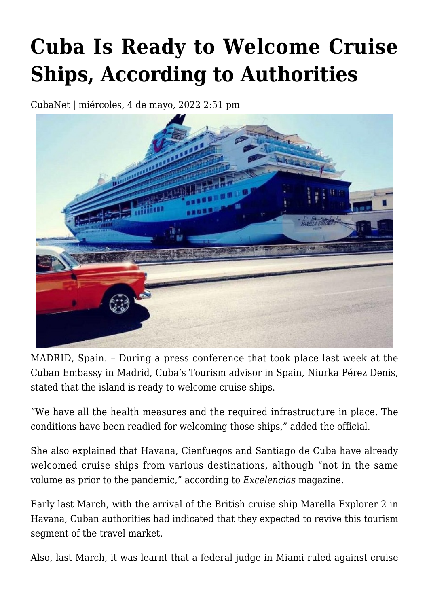## **[Cuba Is Ready to Welcome Cruise](https://www.cubanet.org/english/cuba-is-ready-to-welcome-cruise-ships-according-to-authorities/) [Ships, According to Authorities](https://www.cubanet.org/english/cuba-is-ready-to-welcome-cruise-ships-according-to-authorities/)**

CubaNet | miércoles, 4 de mayo, 2022 2:51 pm



MADRID, Spain. – During a press conference that took place last week at the Cuban Embassy in Madrid, Cuba's Tourism advisor in Spain, Niurka Pérez Denis, stated that the island is ready to welcome cruise ships.

"We have all the health measures and the required infrastructure in place. The conditions have been readied for welcoming those ships," added the official.

She also explained that Havana, Cienfuegos and Santiago de Cuba have already welcomed cruise ships from various destinations, although "not in the same volume as prior to the pandemic," according to *Excelencias* magazine.

Early last March, with the arrival of the British cruise ship Marella Explorer 2 in Havana, Cuban authorities had indicated that they expected to revive this tourism segment of the travel market.

Also, last March, it was learnt that a federal judge in Miami ruled against cruise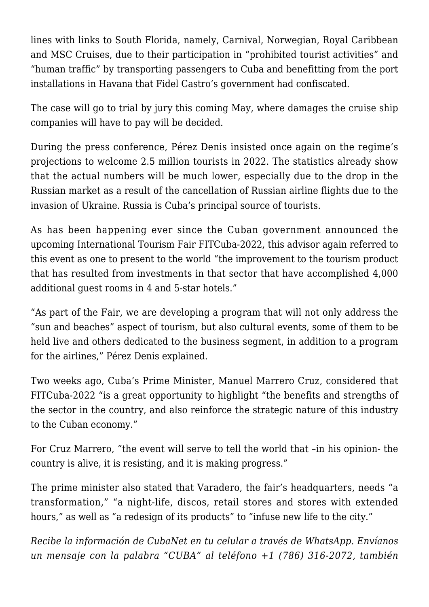lines with links to South Florida, namely, Carnival, Norwegian, Royal Caribbean and MSC Cruises, due to their participation in "prohibited tourist activities" and "human traffic" by transporting passengers to Cuba and benefitting from the port installations in Havana that Fidel Castro's government had confiscated.

The case will go to trial by jury this coming May, where damages the cruise ship companies will have to pay will be decided.

During the press conference, Pérez Denis insisted once again on the regime's projections to welcome 2.5 million tourists in 2022. The statistics already show that the actual numbers will be much lower, especially due to the drop in the Russian market as a result of the cancellation of Russian airline flights due to the invasion of Ukraine. Russia is Cuba's principal source of tourists.

As has been happening ever since the Cuban government announced the upcoming International Tourism Fair FITCuba-2022, this advisor again referred to this event as one to present to the world "the improvement to the tourism product that has resulted from investments in that sector that have accomplished 4,000 additional guest rooms in 4 and 5-star hotels."

"As part of the Fair, we are developing a program that will not only address the "sun and beaches" aspect of tourism, but also cultural events, some of them to be held live and others dedicated to the business segment, in addition to a program for the airlines," Pérez Denis explained.

Two weeks ago, Cuba's Prime Minister, Manuel Marrero Cruz, considered that FITCuba-2022 "is a great opportunity to highlight "the benefits and strengths of the sector in the country, and also reinforce the strategic nature of this industry to the Cuban economy."

For Cruz Marrero, "the event will serve to tell the world that –in his opinion- the country is alive, it is resisting, and it is making progress."

The prime minister also stated that Varadero, the fair's headquarters, needs "a transformation," "a night-life, discos, retail stores and stores with extended hours," as well as "a redesign of its products" to "infuse new life to the city."

*Recibe la información de CubaNet en tu celular a través de WhatsApp. Envíanos un mensaje con la palabra "CUBA" al teléfono +1 (786) 316-2072, también*